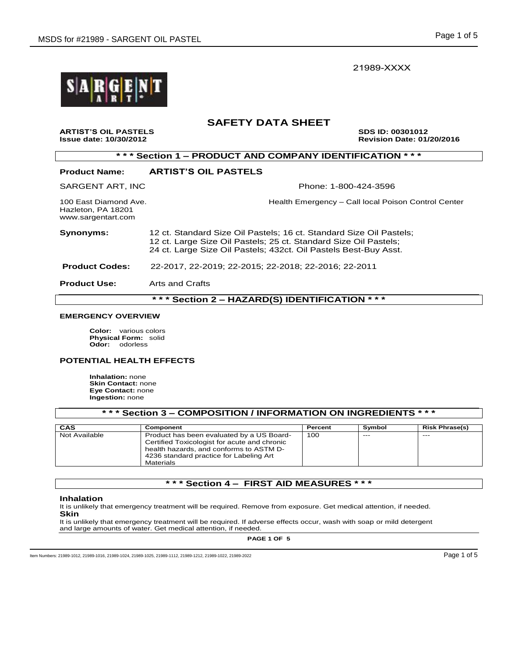21989-XXXX



# **SAFETY DATA SHEET**

**ARTIST'S OIL PASTELS SDS ID: 00301012 Issue date: 10/30/2012 Revision Date: 01/20/2016** 

|--|--|

## **Product Name: ARTIST'S OIL PASTELS**

SARGENT ART, INC **Phone: 1-800-424-3596** 

Hazleton, PA 18201 www.sargentart.com

100 East Diamond Ave. **Health Emergency – Call local Poison Control Center** 

**Synonyms:** 12 ct. Standard Size Oil Pastels; 16 ct. Standard Size Oil Pastels; 12 ct. Large Size Oil Pastels; 25 ct. Standard Size Oil Pastels; 24 ct. Large Size Oil Pastels; 432ct. Oil Pastels Best-Buy Asst.

 **Product Codes:** 22-2017, 22-2019; 22-2015; 22-2018; 22-2016; 22-2011

**Product Use:** Arts and Crafts

**\* \* \* Section 2 – HAZARD(S) IDENTIFICATION \* \* \***

#### **EMERGENCY OVERVIEW**

**Color:** various colors **Physical Form:** solid **Odor:** odorless

#### **POTENTIAL HEALTH EFFECTS**

**Inhalation:** none **Skin Contact:** none **Eye Contact:** none **Ingestion:** none

| *** Section 3 – COMPOSITION / INFORMATION ON INGREDIENTS * * * |                                                                                                                                                                                                     |         |        |                       |  |
|----------------------------------------------------------------|-----------------------------------------------------------------------------------------------------------------------------------------------------------------------------------------------------|---------|--------|-----------------------|--|
| CAS                                                            | Component                                                                                                                                                                                           | Percent | Symbol | <b>Risk Phrase(s)</b> |  |
| Not Available                                                  | Product has been evaluated by a US Board-<br>Certified Toxicologist for acute and chronic<br>health hazards, and conforms to ASTM D-<br>4236 standard practice for Labeling Art<br><b>Materials</b> | 100     | $---$  | $- - -$               |  |

# **\* \* \* Section 4 – FIRST AID MEASURES \* \* \***

#### **Inhalation**

It is unlikely that emergency treatment will be required. Remove from exposure. Get medical attention, if needed. **Skin** 

It is unlikely that emergency treatment will be required. If adverse effects occur, wash with soap or mild detergent and large amounts of water. Get medical attention, if needed.

**PAGE 1 OF 5**

Item Numbers: 21989-1012, 21989-1016, 21989-1024, 21989-1025, 21989-1112, 21989-1212, 21989-1022, 21989-2022 Page 1 of 5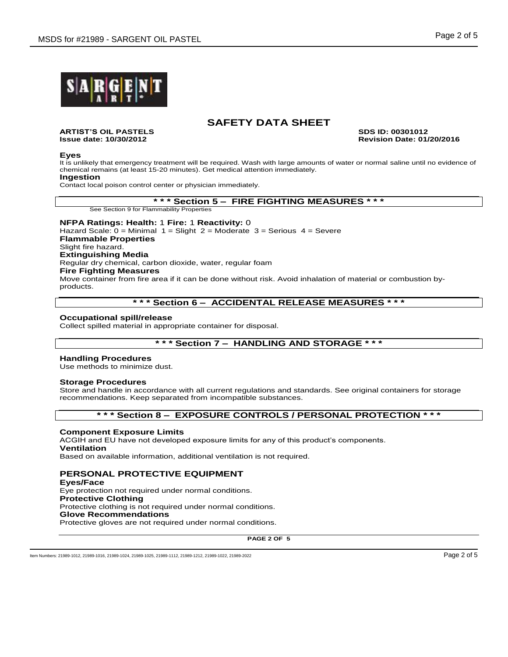

**ARTIST'S OIL PASTELS SDS ID: 00301012**

**Issue date: 10/30/2012 Revision Date: 01/20/2016**

#### **Eyes**

It is unlikely that emergency treatment will be required. Wash with large amounts of water or normal saline until no evidence of chemical remains (at least 15-20 minutes). Get medical attention immediately.

## **Ingestion**

Contact local poison control center or physician immediately.

#### **\* \* \* Section 5 – FIRE FIGHTING MEASURES \* \* \***

See Section 9 for Flammability Properties

**NFPA Ratings: Health:** 1 **Fire:** 1 **Reactivity:** 0 Hazard Scale:  $0 =$  Minimal  $1 =$  Slight  $2 =$  Moderate  $3 =$  Serious  $4 =$  Severe **Flammable Properties** Slight fire hazard. **Extinguishing Media** Regular dry chemical, carbon dioxide, water, regular foam **Fire Fighting Measures** Move container from fire area if it can be done without risk. Avoid inhalation of material or combustion byproducts.

## **\* \* \* Section 6 – ACCIDENTAL RELEASE MEASURES \* \* \***

#### **Occupational spill/release**

Collect spilled material in appropriate container for disposal.

# **\* \* \* Section 7 – HANDLING AND STORAGE \* \* \***

## **Handling Procedures**

Use methods to minimize dust.

#### **Storage Procedures**

Store and handle in accordance with all current regulations and standards. See original containers for storage recommendations. Keep separated from incompatible substances.

# **\* \* \* Section 8 – EXPOSURE CONTROLS / PERSONAL PROTECTION \* \* \***

### **Component Exposure Limits**

ACGIH and EU have not developed exposure limits for any of this product's components.

## **Ventilation**

Based on available information, additional ventilation is not required.

## **PERSONAL PROTECTIVE EQUIPMENT**

**Eyes/Face** Eye protection not required under normal conditions. **Protective Clothing** Protective clothing is not required under normal conditions. **Glove Recommendations** Protective gloves are not required under normal conditions.

**PAGE 2 OF 5**

Item Numbers: 21989-1012, 21989-1016, 21989-1024, 21989-1025, 21989-1112, 21989-1212, 21989-1022, 21989-2022 Page 2 of 5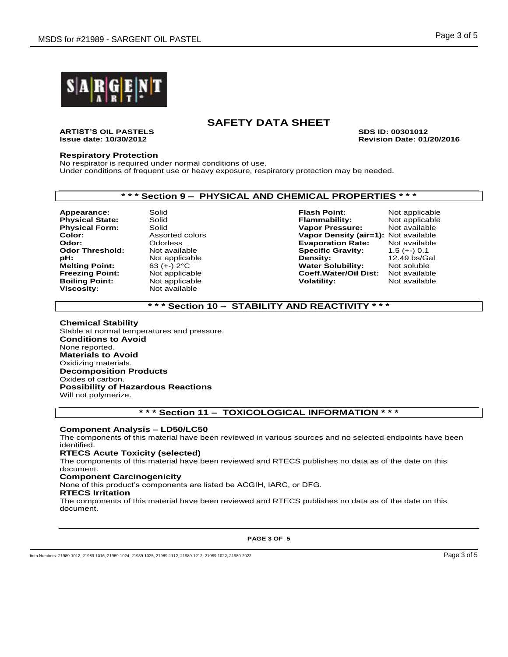

**ARTIST'S OIL PASTELS SDS ID: 00301012**

**Issue date: 10/30/2012 Revision Date: 01/20/2016**

### **Respiratory Protection**

No respirator is required under normal conditions of use. Under conditions of frequent use or heavy exposure, respiratory protection may be needed.

# **\* \* \* Section 9 – PHYSICAL AND CHEMICAL PROPERTIES \* \* \***

**Boiling Point:** Not applicable **Volatility:** Not available **Viscosity:** Not available **Viscosity:** Not available **Not available** 

**Appearance:** Solid **Flash Point:** Not applicable **Physical State:** Solid **Flammability:** Not applicable<br> **Physical Form:** Solid Solid **Flammability:** Not available **Physical Form:** Solid **Vapor Pressure:** Not available **Color:** Assorted colors **Vapor Density (air=1):** Not available **Evaporation Rate: Odor Threshold:** Not available **Specific Gravity:** 1.5 (+-) 0.1<br> **pH:** Not applicable **Specific Specific Gravity:** 12.49 bs/Gal **pH:** Not applicable **Density:** 12.49 bs/Gal **Melting Point:** 63 (+-) 2°C **Water Solubility:** Not soluble **Coeff.Water/Oil Dist:** 

# **\* \* \* Section 10 – STABILITY AND REACTIVITY \* \* \***

#### **Chemical Stability** Stable at normal temperatures and pressure. **Conditions to Avoid** None reported. **Materials to Avoid** Oxidizing materials. **Decomposition Products** Oxides of carbon.

**Possibility of Hazardous Reactions**

Will not polymerize.

# **\* \* \* Section 11 – TOXICOLOGICAL INFORMATION \* \* \***

#### **Component Analysis – LD50/LC50**

The components of this material have been reviewed in various sources and no selected endpoints have been identified.

#### **RTECS Acute Toxicity (selected)**

The components of this material have been reviewed and RTECS publishes no data as of the date on this document.

#### **Component Carcinogenicity**

None of this product's components are listed be ACGIH, IARC, or DFG.

#### **RTECS Irritation**

The components of this material have been reviewed and RTECS publishes no data as of the date on this document.

**PAGE 3 OF 5**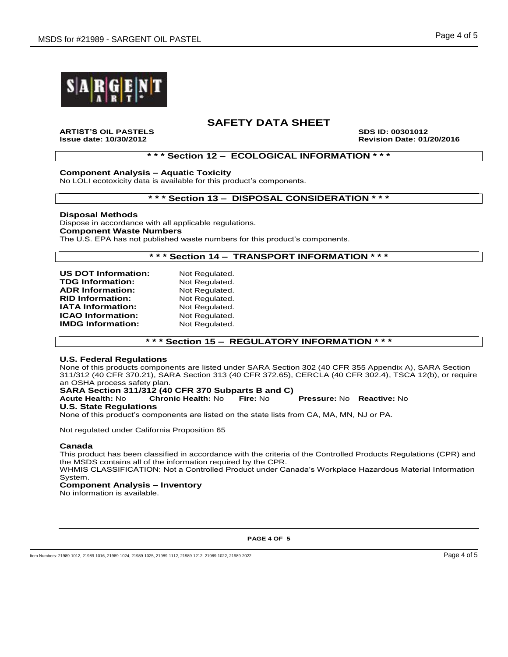

**ARTIST'S OIL PASTELS SDS ID: 00301012**

**Issue date: 10/30/2012 Revision Date: 01/20/2016**

## **\* \* \* Section 12 – ECOLOGICAL INFORMATION \* \* \***

**Component Analysis – Aquatic Toxicity**

No LOLI ecotoxicity data is available for this product's components.

## **\* \* \* Section 13 – DISPOSAL CONSIDERATION \* \* \***

#### **Disposal Methods**

Dispose in accordance with all applicable regulations. **Component Waste Numbers** The U.S. EPA has not published waste numbers for this product's components.

## **\* \* \* Section 14 – TRANSPORT INFORMATION \* \* \***

| <b>US DOT Information:</b> | Not Regulated. |
|----------------------------|----------------|
| <b>TDG Information:</b>    | Not Regulated. |
| <b>ADR Information:</b>    | Not Regulated. |
| <b>RID Information:</b>    | Not Regulated. |
| <b>IATA Information:</b>   | Not Regulated. |
| <b>ICAO Information:</b>   | Not Regulated. |
| <b>IMDG Information:</b>   | Not Regulated. |
|                            |                |

# **\* \* \* Section 15 – REGULATORY INFORMATION \* \* \***

### **U.S. Federal Regulations**

None of this products components are listed under SARA Section 302 (40 CFR 355 Appendix A), SARA Section 311/312 (40 CFR 370.21), SARA Section 313 (40 CFR 372.65), CERCLA (40 CFR 302.4), TSCA 12(b), or require an OSHA process safety plan.

**SARA Section 311/312 (40 CFR 370 Subparts B and C) Acute Health:** No **Chronic Health:** No **Fire:** No **Pressure:** No **Reactive:** No **U.S. State Regulations**

None of this product's components are listed on the state lists from CA, MA, MN, NJ or PA.

Not regulated under California Proposition 65

#### **Canada**

This product has been classified in accordance with the criteria of the Controlled Products Regulations (CPR) and the MSDS contains all of the information required by the CPR.

WHMIS CLASSIFICATION: Not a Controlled Product under Canada's Workplace Hazardous Material Information System.

## **Component Analysis – Inventory**

No information is available.

**PAGE 4 OF 5**